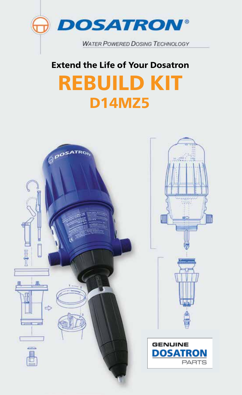

## Extend the Life of Your Dosatron

# REBUILD KIT D14MZ5

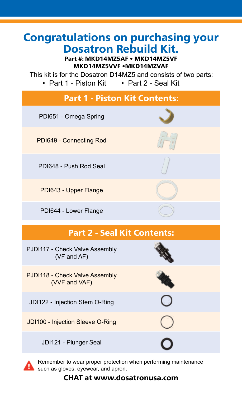### Congratulations on purchasing your Dosatron Rebuild Kit.

#### Part #: MKD14MZ5AF • MKD14MZ5VF MKD14MZ5VVF •MKD14MZVAF

This kit is for the Dosatron D14MZ5 and consists of two parts: • Part 1 - Piston Kit • Part 2 - Seal Kit

| <b>Part 1 - Piston Kit Contents:</b> |  |
|--------------------------------------|--|
| PDI651 - Omega Spring                |  |
| PDI649 - Connecting Rod              |  |
| PDI648 - Push Rod Seal               |  |
| PDI643 - Upper Flange                |  |
| PDI644 - Lower Flange                |  |

### Part 2 - Seal Kit Contents:

| PJDI117 - Check Valve Assembly<br>$(VF$ and $AF)$ |  |
|---------------------------------------------------|--|
| PJDI118 - Check Valve Assembly<br>(VVF and VAF)   |  |
| JDI122 - Injection Stem O-Ring                    |  |
| JD1100 - Injection Sleeve O-Ring                  |  |
| JDI121 - Plunger Seal                             |  |



Remember to wear proper protection when performing maintenance such as gloves, eyewear, and apron.

#### CHAT at www.dosatronusa.com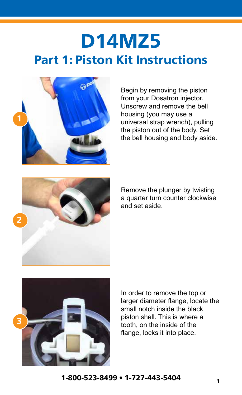## D14MZ5 Part 1: Piston Kit Instructions



Begin by removing the piston from your Dosatron injector. Unscrew and remove the bell housing (you may use a universal strap wrench), pulling the piston out of the body. Set the bell housing and body aside.



Remove the plunger by twisting a quarter turn counter clockwise and set aside.



In order to remove the top or larger diameter flange, locate the small notch inside the black piston shell. This is where a tooth, on the inside of the flange, locks it into place.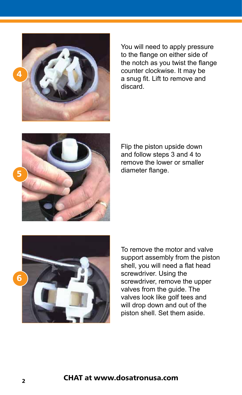

You will need to apply pressure to the flange on either side of the notch as you twist the flange counter clockwise. It may be a snug fit. Lift to remove and discard.

Flip the piston upside down and follow steps 3 and 4 to remove the lower or smaller diameter flange.



To remove the motor and valve support assembly from the piston shell, you will need a flat head screwdriver. Using the screwdriver, remove the upper valves from the guide. The valves look like golf tees and will drop down and out of the piston shell. Set them aside.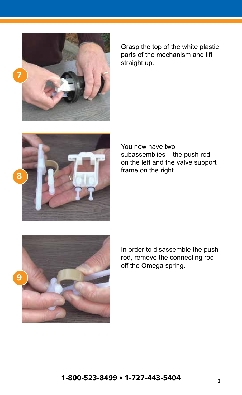

Grasp the top of the white plastic parts of the mechanism and lift straight up.



You now have two subassemblies – the push rod on the left and the valve support frame on the right.



In order to disassemble the push rod, remove the connecting rod off the Omega spring.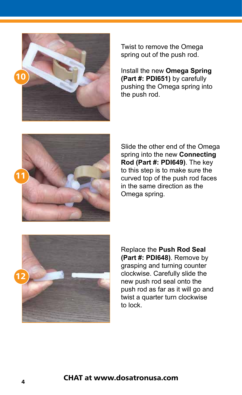

Twist to remove the Omega spring out of the push rod.

Install the new **Omega Spring (Part #: PDI651)** by carefully pushing the Omega spring into the push rod.



Slide the other end of the Omega spring into the new **Connecting Rod (Part #: PDI649)**. The key to this step is to make sure the curved top of the push rod faces in the same direction as the Omega spring.



Replace the **Push Rod Seal (Part #: PDI648)**. Remove by grasping and turning counter clockwise. Carefully slide the new push rod seal onto the push rod as far as it will go and twist a quarter turn clockwise to lock.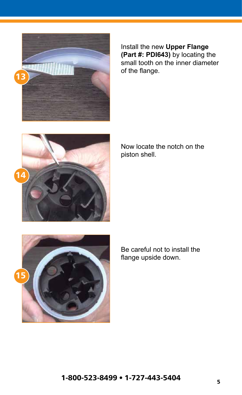

Install the new **Upper Flange (Part #: PDI643)** by locating the small tooth on the inner diameter of the flange.



Now locate the notch on the piston shell.



Be careful not to install the flange upside down.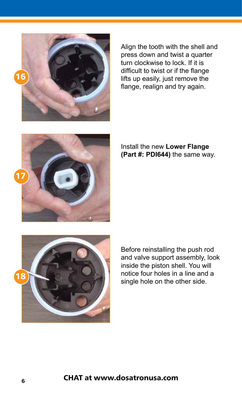

Align the tooth with the shell and press down and twist a quarter turn clockwise to lock. If it is difficult to twist or if the flange lifts up easily, just remove the flange, realign and try again.



#### Install the new **Lower Flange (Part #: PDI644)** the same way.



Before reinstalling the push rod and valve support assembly, look inside the piston shell. You will notice four holes in a line and a single hole on the other side.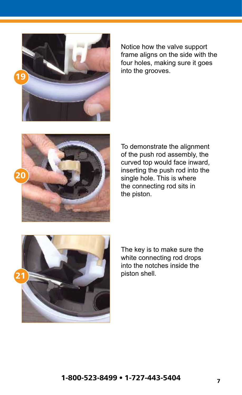

Notice how the valve support frame aligns on the side with the four holes, making sure it goes into the grooves.



To demonstrate the alignment of the push rod assembly, the curved top would face inward, inserting the push rod into the single hole. This is where the connecting rod sits in the piston.



The key is to make sure the white connecting rod drops into the notches inside the piston shell.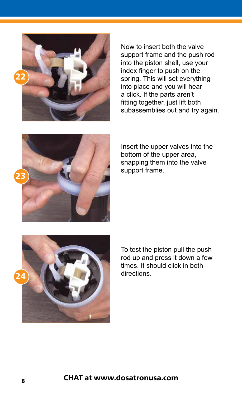

Now to insert both the valve support frame and the push rod into the piston shell, use your index finger to push on the spring. This will set everything into place and you will hear a click. If the parts aren't fitting together, just lift both subassemblies out and try again.



Insert the upper valves into the bottom of the upper area, snapping them into the valve support frame.



To test the piston pull the push rod up and press it down a few times. It should click in both directions.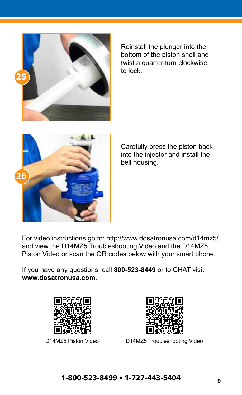

Reinstall the plunger into the bottom of the piston shell and twist a quarter turn clockwise to lock.



Carefully press the piston back into the injector and install the bell housing.

For video instructions go to: http://www.dosatronusa.com/d14mz5/ and view the D14MZ5 Troubleshooting Video and the D14MZ5 Piston Video or scan the QR codes below with your smart phone.

If you have any questions, call **800-523-8449** or to CHAT visit **www.dosatronusa.com**.





D14MZ5 Piston Video D14MZ5 Troubleshooting Video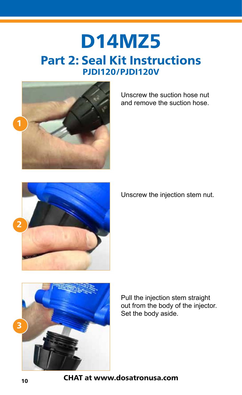## D14MZ5 Part 2: Seal Kit Instructions PJDI120/PJDI120V



Unscrew the suction hose nut and remove the suction hose.



Unscrew the injection stem nut.



Pull the injection stem straight out from the body of the injector. Set the body aside.

CHAT at www.dosatronusa.com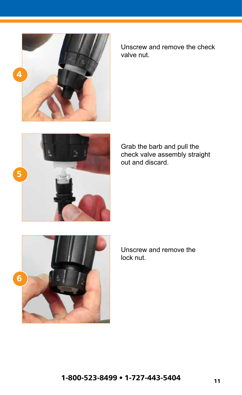

Unscrew and remove the check valve nut.

Grab the barb and pull the check valve assembly straight out and discard.



Unscrew and remove the lock nut.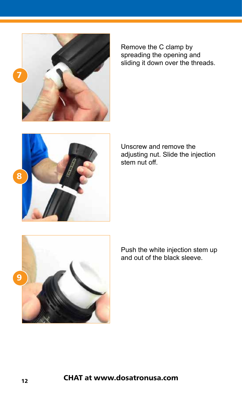

Remove the C clamp by spreading the opening and sliding it down over the threads.





Push the white injection stem up and out of the black sleeve.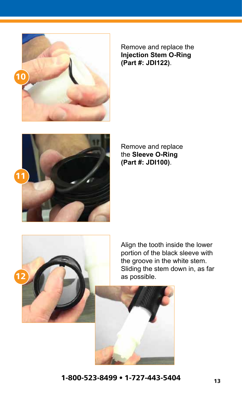

Remove and replace the **Injection Stem O-Ring (Part #: JDI122)**.



Remove and replace the **Sleeve O-Ring (Part #: JDI100)**.



Align the tooth inside the lower portion of the black sleeve with the groove in the white stem. Sliding the stem down in, as far as possible.

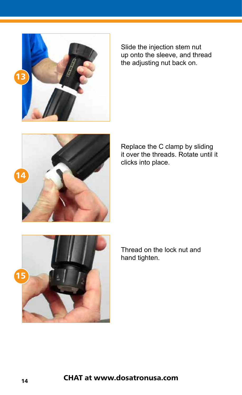

Slide the injection stem nut up onto the sleeve, and thread the adjusting nut back on.

Replace the C clamp by sliding it over the threads. Rotate until it clicks into place.



Thread on the lock nut and hand tighten.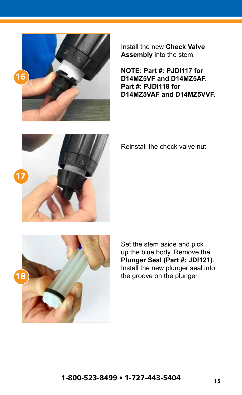

Install the new **Check Valve Assembly** into the stem.

**NOTE: Part #: PJDI117 for D14MZ5VF and D14MZ5AF. Part #: PJDI118 for D14MZ5VAF and D14MZ5VVF.**



Reinstall the check valve nut.



Set the stem aside and pick up the blue body. Remove the **Plunger Seal (Part #: JDI121)**. Install the new plunger seal into the groove on the plunger.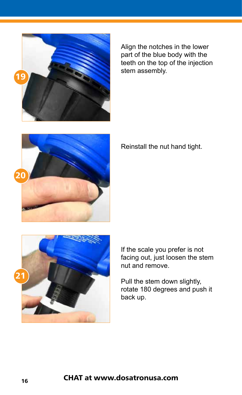

Align the notches in the lower part of the blue body with the teeth on the top of the injection stem assembly.



Reinstall the nut hand tight.



If the scale you prefer is not facing out, just loosen the stem nut and remove.

Pull the stem down slightly, rotate 180 degrees and push it back up.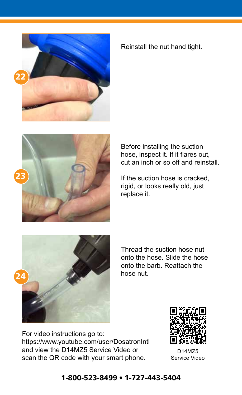

#### Reinstall the nut hand tight.



Before installing the suction hose, inspect it. If it flares out, cut an inch or so off and reinstall.

If the suction hose is cracked, rigid, or looks really old, just replace it.



Thread the suction hose nut onto the hose. Slide the hose onto the barb. Reattach the hose nut.

For video instructions go to: https://www.youtube.com/user/DosatronIntl and view the D14MZ5 Service Video or scan the QR code with your smart phone.



D14MZ5 Service Video